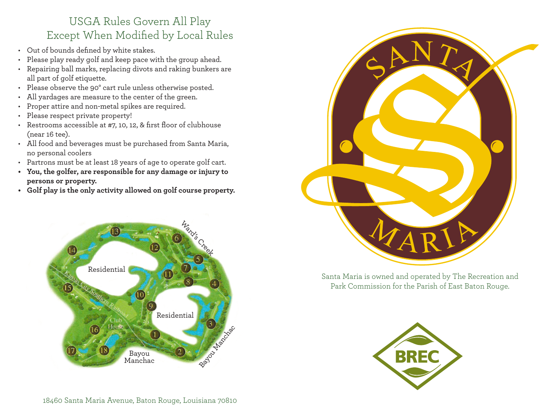## USGA Rules Govern All Play Except When Modified by Local Rules

- Out of bounds defined by white stakes.
- Please play ready golf and keep pace with the group ahead.
- Repairing ball marks, replacing divots and raking bunkers are all part of golf etiquette.
- Please observe the 90° cart rule unless otherwise posted.
- All yardages are measure to the center of the green.
- Proper attire and non-metal spikes are required.
- Please respect private property!
- Restrooms accessible at #7, 10, 12, & first floor of clubhouse (near 16 tee).
- All food and beverages must be purchased from Santa Maria, no personal coolers
- Partrons must be at least 18 years of age to operate golf cart.
- **• You, the golfer, are responsible for any damage or injury to persons or property.**
- **• Golf play is the only activity allowed on golf course property.**





Santa Maria is owned and operated by The Recreation and Park Commission for the Parish of East Baton Rouge.